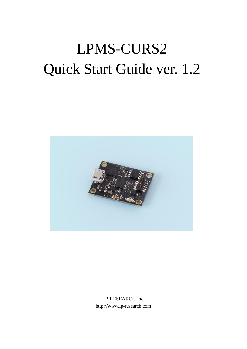# LPMS-CURS2 Quick Start Guide ver. 1.2



LP-RESEARCH Inc. http://www.lp-research.com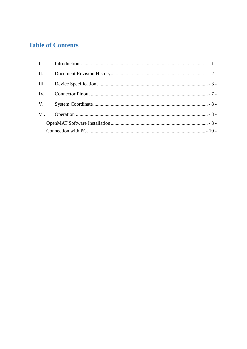# **Table of Contents**

| II.  |  |
|------|--|
| III. |  |
| IV.  |  |
| V.   |  |
| VI.  |  |
|      |  |
|      |  |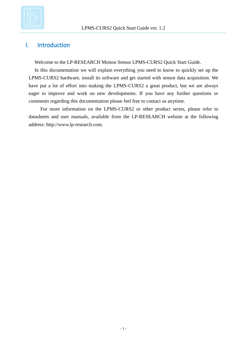

# <span id="page-2-0"></span>I. Introduction

Welcome to the LP-RESEARCH Motion Sensor LPMS-CURS2 Quick Start Guide.

In this documentation we will explain everything you need to know to quickly set up the LPMS-CURS2 hardware, install its software and get started with sensor data acquisition. We have put a lot of effort into making the LPMS-CURS2 a great product, but we are always eager to improve and work on new developments. If you have any further questions or comments regarding this documentation please feel free to contact us anytime.

For more information on the LPMS-CURS2 or other product series, please refer to datasheets and user manuals, available from the LP-RESEARCH website at the following address: http://www.lp-research.com.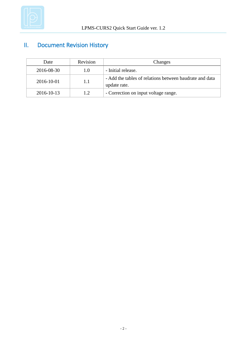

# <span id="page-3-0"></span>II. Document Revision History

| Date       | Revision | Changes                                                                 |
|------------|----------|-------------------------------------------------------------------------|
| 2016-08-30 | 1.0      | - Initial release.                                                      |
| 2016-10-01 | 1.1      | - Add the tables of relations between baudrate and data<br>update rate. |
| 2016-10-13 | 1.2      | - Correction on input voltage range.                                    |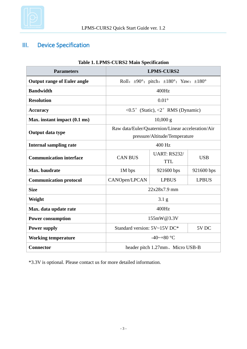

# <span id="page-4-0"></span>III. Device Specification

| <b>Parameters</b>                  |                                                                                    | <b>LPMS-CURS2</b>                                                    |              |
|------------------------------------|------------------------------------------------------------------------------------|----------------------------------------------------------------------|--------------|
| <b>Output range of Euler angle</b> |                                                                                    | Roll: $\pm 90^\circ$ ; pitch: $\pm 180^\circ$ ; Yaw: $\pm 180^\circ$ |              |
| <b>Bandwidth</b>                   |                                                                                    | 400Hz                                                                |              |
| <b>Resolution</b>                  |                                                                                    | $0.01\degree$                                                        |              |
| <b>Accuracy</b>                    |                                                                                    | <0.5° (Static), <2° RMS (Dynamic)                                    |              |
| Max. instant impact (0.1 ms)       |                                                                                    | $10,000 \text{ g}$                                                   |              |
| Output data type                   | Raw data/Euler/Quaternion/Linear acceleration/Air<br>pressure/Altitude/Temperature |                                                                      |              |
| <b>Internal sampling rate</b>      | 400 Hz                                                                             |                                                                      |              |
| <b>Communication interface</b>     | <b>CAN BUS</b>                                                                     | <b>UART: RS232/</b><br><b>TTL</b>                                    | <b>USB</b>   |
| Max. baudrate                      | 1M bps<br>921600 bps                                                               |                                                                      | 921600 bps   |
| <b>Communication protocol</b>      | CANOpen/LPCAN                                                                      | <b>LPBUS</b>                                                         | <b>LPBUS</b> |
| <b>Size</b>                        | 22x28x7.9 mm                                                                       |                                                                      |              |
| Weight                             | $3.1\text{ g}$                                                                     |                                                                      |              |
| Max. data update rate              | 400Hz                                                                              |                                                                      |              |
| <b>Power consumption</b>           | 155mW@3.3V                                                                         |                                                                      |              |
| <b>Power supply</b>                | Standard version: 5V~15V DC*<br>5V <sub>DC</sub>                                   |                                                                      |              |
| <b>Working temperature</b>         | -40~+80 $\mathbb{C}$                                                               |                                                                      |              |
| <b>Connector</b>                   | header pitch 1.27mm, Micro USB-B                                                   |                                                                      |              |

## **Table 1. LPMS-CURS2 Main Specification**

\*3.3V is optional. Please contact us for more detailed information.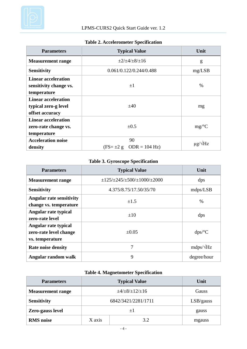

# **Table 2. Accelerometer Specification**

| <b>Parameters</b>                                                     | <b>Typical Value</b>                | Unit                 |
|-----------------------------------------------------------------------|-------------------------------------|----------------------|
| <b>Measurement range</b>                                              | $\pm 2/\pm 4/\pm 8/\pm 16$          | g                    |
| <b>Sensitivity</b>                                                    | 0.061/0.122/0.244/0.488             | mg/LSB               |
| <b>Linear acceleration</b><br>sensitivity change vs.<br>temperature   | $\pm 1$                             | $\%$                 |
| <b>Linear acceleration</b><br>typical zero-g level<br>offset accuracy | ±40                                 | mg                   |
| <b>Linear acceleration</b><br>zero-rate change vs.<br>temperature     | $\pm 0.5$                           | mg/C                 |
| <b>Acceleration noise</b><br>density                                  | 90<br>$(FS = \pm 2 g$ ODR = 104 Hz) | $\mu$ g/ $\sqrt{Hz}$ |

#### **Table 3. Gyroscope Specification**

| <b>Parameters</b>                                                 | <b>Typical Value</b>                                    | Unit             |
|-------------------------------------------------------------------|---------------------------------------------------------|------------------|
| <b>Measurement range</b>                                          | $\pm$ 125/ $\pm$ 245/ $\pm$ 500/ $\pm$ 1000/ $\pm$ 2000 | dps              |
| <b>Sensitivity</b>                                                | 4.375/8.75/17.50/35/70                                  | mdps/LSB         |
| <b>Angular rate sensitivity</b><br>change vs. temperature         | $\pm 1.5$                                               | $\%$             |
| Angular rate typical<br>zero-rate level                           | $\pm 10$                                                | dps              |
| Angular rate typical<br>zero-rate level change<br>vs. temperature | ±0.05                                                   | dps/C            |
| <b>Rate noise density</b>                                         | 7                                                       | $mdps/\sqrt{Hz}$ |
| Angular random walk                                               | 9                                                       | degree/hour      |

# **Table 4. Magnetometer Specification**

| <b>Parameters</b>        | <b>Typical Value</b>        |     | Unit      |
|--------------------------|-----------------------------|-----|-----------|
| <b>Measurement range</b> | $\pm 4/\pm 8/\pm 12/\pm 16$ |     | Gauss     |
| <b>Sensitivity</b>       | 6842/3421/2281/1711         |     | LSB/gauss |
| Zero-gauss level         | $\pm 1$                     |     | gauss     |
| <b>RMS</b> noise         | X axis                      | 3.2 | mgauss    |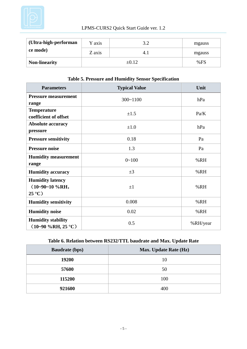

# LPMS-CURS2 Quick Start Guide ver. 1.2

| (Ultra-high-performan | Y axis  | ے . د | mgauss |
|-----------------------|---------|-------|--------|
| ce mode)              | Z axis  |       | mgauss |
| <b>Non-linearity</b>  | $+0.12$ |       | %FS    |

#### **Table 5. Pressure and Humidity Sensor Specification**

| <b>Parameters</b>                                             | <b>Typical Value</b> | Unit     |
|---------------------------------------------------------------|----------------------|----------|
| <b>Pressure measurement</b><br>range                          | $300 - 1100$         | hPa      |
| <b>Temperature</b><br>coefficient of offset                   | $\pm 1.5$            | Pa/K     |
| <b>Absolute accuracy</b><br>pressure                          | $\pm 1.0$            | hPa      |
| <b>Pressure sensitivity</b>                                   | 0.18                 | Pa       |
| <b>Pressure noise</b>                                         | 1.3                  | Pa       |
| <b>Humidity measurement</b><br>range                          | $0 - 100$            | %RH      |
| <b>Humidity accuracy</b>                                      | $\pm 3$              | %RH      |
| <b>Humidity latency</b><br>$(10-90-10\%RH,$<br>$25 \text{ C}$ | $\pm 1$              | %RH      |
| <b>Humidity sensitivity</b>                                   | 0.008                | %RH      |
| <b>Humidity noise</b>                                         | 0.02                 | %RH      |
| <b>Humidity stability</b><br>$(10-90\%RH, 25 \text{ C})$      | 0.5                  | %RH/year |

# **Table 6. Relation between RS232/TTL baudrate and Max. Update Rate**

| <b>Baudrate (bps)</b> | <b>Max. Update Rate (Hz)</b> |
|-----------------------|------------------------------|
| 19200                 | 10                           |
| 57600                 | 50                           |
| 115200                | 100                          |
| 921600                | 400                          |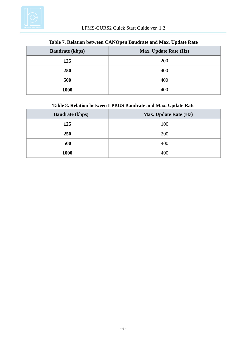

| <b>Baudrate (kbps)</b> | Max. Update Rate (Hz) |  |
|------------------------|-----------------------|--|
| 125                    | 200                   |  |
| <b>250</b>             | 400                   |  |
| 500                    | 400                   |  |
| 1000                   | 400                   |  |

#### **Table 7. Relation between CANOpen Baudrate and Max. Update Rate**

# **Table 8. Relation between LPBUS Baudrate and Max. Update Rate**

| <b>Baudrate (kbps)</b> | <b>Max. Update Rate (Hz)</b> |
|------------------------|------------------------------|
| 125                    | 100                          |
| <b>250</b>             | 200                          |
| 500                    | 400                          |
| 1000                   | 400                          |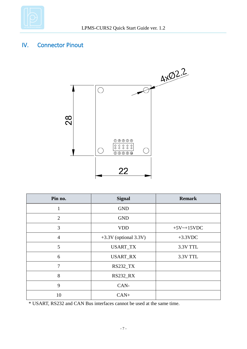

# <span id="page-8-0"></span>IV. Connector Pinout



| Pin no.        | <b>Signal</b>           | <b>Remark</b>    |
|----------------|-------------------------|------------------|
| 1              | <b>GND</b>              |                  |
| 2              | <b>GND</b>              |                  |
| 3              | <b>VDD</b>              | $+5V$ ~ $+15VDC$ |
| $\overline{4}$ | $+3.3V$ (optional 3.3V) | $+3.3$ VDC       |
| 5              | <b>USART_TX</b>         | 3.3V TTL         |
| 6              | <b>USART_RX</b>         | 3.3V TTL         |
| 7              | <b>RS232_TX</b>         |                  |
| 8              | <b>RS232_RX</b>         |                  |
| 9              | CAN-                    |                  |
| 10             | $CAN+$                  |                  |

\* USART, RS232 and CAN Bus interfaces cannot be used at the same time.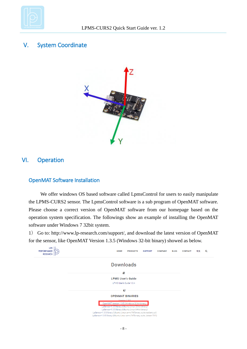

# <span id="page-9-0"></span>V. System Coordinate



# <span id="page-9-1"></span>VI. Operation

### <span id="page-9-2"></span>OpenMAT Software Installation

We offer windows OS based software called LpmsControl for users to easily manipulate the LPMS-CURS2 sensor. The LpmsControl software is a sub program of OpenMAT software. Please choose a correct version of OpenMAT software from our homepage based on the operation system specification. The followings show an example of installing the OpenMAT software under Windows 7 32bit system.

1) Go to: [http://www.lp-research.com/support/,](http://www.alubi.cn/) and download the latest version of OpenMAT for the sensor, like OpenMAT Version 1.3.5 (Windows 32-bit binary) showed as below.

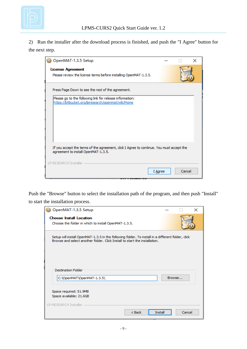

2) Run the installer after the download process is finished, and push the "I Agree" button for the next step.

| OpenMAT-1.3.5 Setup                                                                                                             |        | × |
|---------------------------------------------------------------------------------------------------------------------------------|--------|---|
| <b>License Agreement</b><br>Please review the license terms before installing OpenMAT-1.3.5.                                    |        |   |
| Press Page Down to see the rest of the agreement.                                                                               |        |   |
| Please go to the following link for release information:<br>https://bitbucket.org/lpresearch/openmat/wiki/Home                  |        |   |
| If you accept the terms of the agreement, click I Agree to continue. You must accept the<br>agreement to install OpenMAT-1.3.5. |        |   |
| LP-RESEARCH Installer<br>I Agree                                                                                                | Cancel |   |

Push the "Browse" button to select the installation path of the program, and then push "Install" to start the installation process.

| OpenMAT-1.3.5 Setup                                                                                                                                                            |        | × |
|--------------------------------------------------------------------------------------------------------------------------------------------------------------------------------|--------|---|
| <b>Choose Install Location</b>                                                                                                                                                 |        |   |
| Choose the folder in which to install OpenMAT-1.3.5.                                                                                                                           |        |   |
| Setup will install OpenMAT-1.3.5 in the following folder. To install in a different folder, dick<br>Browse and select another folder. Click Install to start the installation. |        |   |
|                                                                                                                                                                                |        |   |
| <b>Destination Folder</b>                                                                                                                                                      |        |   |
| C:\OpenMAT\OpenMAT-1.3.5\                                                                                                                                                      | Browse |   |
| Space required: 51.9MB                                                                                                                                                         |        |   |
| Space available: 21.6GB                                                                                                                                                        |        |   |
| LP-RESEARCH Installer                                                                                                                                                          |        |   |
| $<$ Back<br><b>Install</b>                                                                                                                                                     | Cancel |   |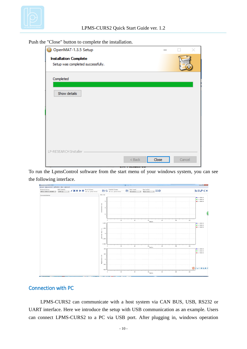

| OpenMAT-1.3.5 Setup                                               |        |       |  |        |  |
|-------------------------------------------------------------------|--------|-------|--|--------|--|
| <b>Installation Complete</b><br>Setup was completed successfully. |        |       |  |        |  |
| Completed                                                         |        |       |  |        |  |
| Show details                                                      |        |       |  |        |  |
|                                                                   |        |       |  |        |  |
|                                                                   |        |       |  |        |  |
|                                                                   |        |       |  |        |  |
|                                                                   |        |       |  |        |  |
|                                                                   |        |       |  |        |  |
| LP-RESEARCH Installer -                                           | $Back$ | Close |  | Cancel |  |

Push the "Close" button to complete the installation.

To run the LpmsControl software from the start menu of your windows system, you can see the following interface.



#### <span id="page-11-0"></span>Connection with PC

LPMS-CURS2 can communicate with a host system via CAN BUS, USB, RS232 or UART interface. Here we introduce the setup with USB communication as an example. Users can connect LPMS-CURS2 to a PC via USB port. After plugging in, windows operation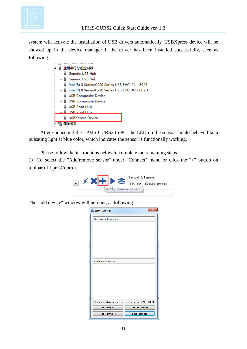

system will activate the installation of USB drivers automatically. USBXpress device will be showed up in the device manager if the driver has been installed successfully, seen as following.

|  | 通用串行总线控制器                                        |
|--|--------------------------------------------------|
|  | Generic USB Hub                                  |
|  | Generic USB Hub                                  |
|  | Intel(R) 8 Series/C220 Series USB EHCI #1 - 8C26 |
|  | Intel(R) 8 Series/C220 Series USB EHCI #2 - 8C2D |
|  | <b>USB Composite Device</b>                      |
|  | <b>USB Composite Device</b>                      |
|  | <b>USB Root Hub</b>                              |
|  | <b>USB Root Hub</b>                              |
|  | <b>USBXpress Device</b>                          |
|  |                                                  |

After connecting the LPMS-CURS2 to PC, the LED on the sensor should behave like a pulsating light at blue color, which indicates the sensor is functionally working.

Please follow the instructions below to complete the remaining steps.

1) To select the "Add/remove sensor" under "Connect" menu or click the "+" button on toolbar of LpmsControl.



The "add device" window will pop out, as following.

| $\mathbf{x}$<br>LpmsControl                   |  |
|-----------------------------------------------|--|
| Discovered devices                            |  |
|                                               |  |
|                                               |  |
|                                               |  |
|                                               |  |
|                                               |  |
|                                               |  |
| Preferred devices                             |  |
|                                               |  |
|                                               |  |
|                                               |  |
|                                               |  |
|                                               |  |
| Scan system serial ports (only for LPMS-UART) |  |
| Add device<br>Remove device                   |  |
| Save devices<br>Scan devices                  |  |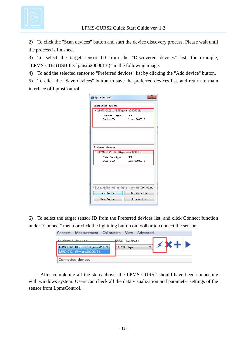

2) To click the "Scan devices" button and start the device discovery process. Please wait until the process is finished.

3) To select the target sensor ID from the "Discovered devices" list, for example, "LPMS-CU2 (USB ID: lpmsra2000013 )" in the following image.

4) To add the selected sensor to "Preferred devices" list by clicking the "Add device" button.

5) To click the "Save devices" button to save the preferred devices list, and return to main interface of LpmsControl.

| LpmsControl                      |                                               |  |  |  |
|----------------------------------|-----------------------------------------------|--|--|--|
| Discovered devices               |                                               |  |  |  |
| LPMS-CU2 (USB ID: lpmsra2000013) |                                               |  |  |  |
| Interface type:<br><b>USB</b>    |                                               |  |  |  |
| Device ID:                       | lpmsra2000013                                 |  |  |  |
|                                  |                                               |  |  |  |
|                                  |                                               |  |  |  |
| Preferred devices                |                                               |  |  |  |
| LPMS-CU2 (USB ID: msra2000013)   |                                               |  |  |  |
| Interface type:<br><b>USB</b>    |                                               |  |  |  |
| Device ID:                       | lpmsra2000013                                 |  |  |  |
|                                  |                                               |  |  |  |
|                                  | Scan system serial ports (only for LPMS-UART) |  |  |  |
| Add device                       | Remove device                                 |  |  |  |
| Save devices                     | Scan devices                                  |  |  |  |

6) To select the target sensor ID from the Preferred devices list, and click Connect function under "Connect" menu or click the lightning button on toolbar to connect the sensor.

| Connect               | Measurement Calibration View Advanced                         |                 |  |                                     |  |
|-----------------------|---------------------------------------------------------------|-----------------|--|-------------------------------------|--|
| Professor de dovince: |                                                               | RS232 baudrate: |  | $\sim$ de j $\blacktriangleright$ . |  |
|                       | LPMS-CU2 (USB ID: 1pmsra200 ▼<br>as=cite of the exact popular | 115200 bps      |  |                                     |  |
|                       | Connected devices                                             |                 |  |                                     |  |

After completing all the steps above, the LPMS-CURS2 should have been connecting with windows system. Users can check all the data visualization and parameter settings of the sensor from LpmsControl.